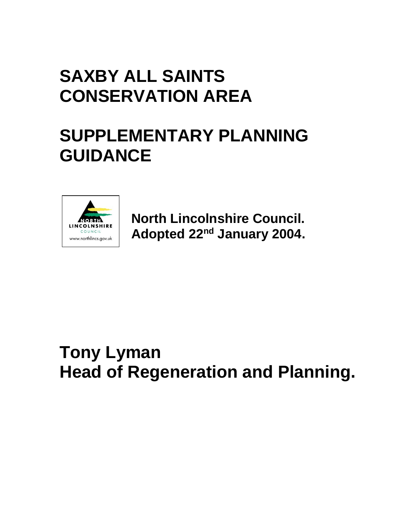# **SAXBY ALL SAINTS CONSERVATION AREA**

# **SUPPLEMENTARY PLANNING GUIDANCE**



**North Lincolnshire Council. Adopted 22nd January 2004.**

# **Tony Lyman Head of Regeneration and Planning.**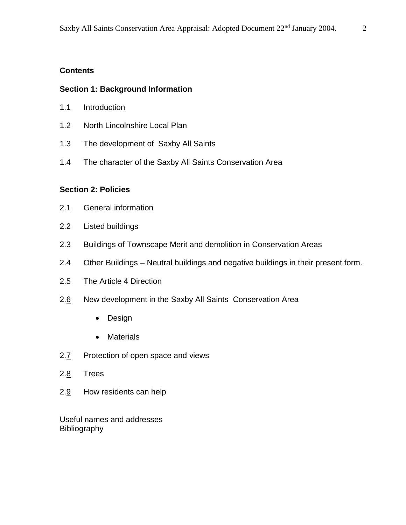## **Contents**

## **Section 1: Background Information**

- 1.1 Introduction
- 1.2 North Lincolnshire Local Plan
- 1.3 The development of Saxby All Saints
- 1.4 The character of the Saxby All Saints Conservation Area

#### **Section 2: Policies**

- 2.1 General information
- 2.2 Listed buildings
- 2.3 Buildings of Townscape Merit and demolition in Conservation Areas
- 2.4 Other Buildings Neutral buildings and negative buildings in their present form.
- 2.5 The Article 4 Direction
- 2.6 New development in the Saxby All Saints Conservation Area
	- Design
	- Materials
- 2.7 Protection of open space and views
- 2.8 Trees
- 2.9 How residents can help

Useful names and addresses Bibliography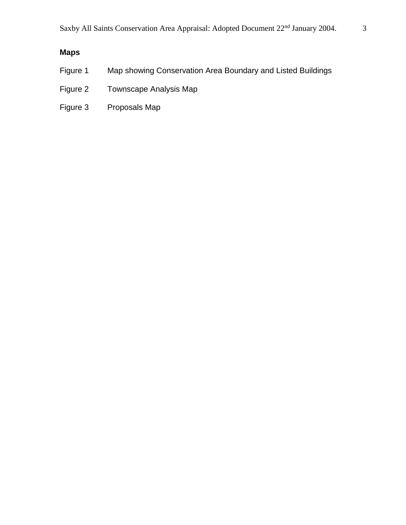## **Maps**

- Figure 1 Map showing Conservation Area Boundary and Listed Buildings
- Figure 2 Townscape Analysis Map
- Figure 3 Proposals Map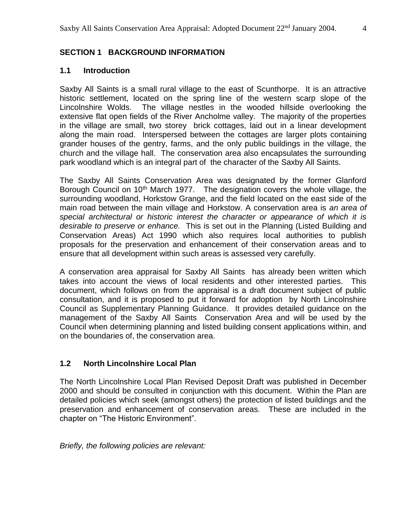## **SECTION 1 BACKGROUND INFORMATION**

#### **1.1 Introduction**

Saxby All Saints is a small rural village to the east of Scunthorpe. It is an attractive historic settlement, located on the spring line of the western scarp slope of the Lincolnshire Wolds. The village nestles in the wooded hillside overlooking the extensive flat open fields of the River Ancholme valley. The majority of the properties in the village are small, two storey brick cottages, laid out in a linear development along the main road. Interspersed between the cottages are larger plots containing grander houses of the gentry, farms, and the only public buildings in the village, the church and the village hall. The conservation area also encapsulates the surrounding park woodland which is an integral part of the character of the Saxby All Saints.

The Saxby All Saints Conservation Area was designated by the former Glanford Borough Council on  $10<sup>th</sup>$  March 1977. The designation covers the whole village, the surrounding woodland, Horkstow Grange, and the field located on the east side of the main road between the main village and Horkstow. A conservation area is *an area of special architectural or historic interest the character or appearance of which it is desirable to preserve or enhance.* This is set out in the Planning (Listed Building and Conservation Areas) Act 1990 which also requires local authorities to publish proposals for the preservation and enhancement of their conservation areas and to ensure that all development within such areas is assessed very carefully.

A conservation area appraisal for Saxby All Saints has already been written which takes into account the views of local residents and other interested parties. This document, which follows on from the appraisal is a draft document subject of public consultation, and it is proposed to put it forward for adoption by North Lincolnshire Council as Supplementary Planning Guidance. It provides detailed guidance on the management of the Saxby All Saints Conservation Area and will be used by the Council when determining planning and listed building consent applications within, and on the boundaries of, the conservation area.

#### **1.2 North Lincolnshire Local Plan**

The North Lincolnshire Local Plan Revised Deposit Draft was published in December 2000 and should be consulted in conjunction with this document. Within the Plan are detailed policies which seek (amongst others) the protection of listed buildings and the preservation and enhancement of conservation areas. These are included in the chapter on "The Historic Environment".

*Briefly, the following policies are relevant:*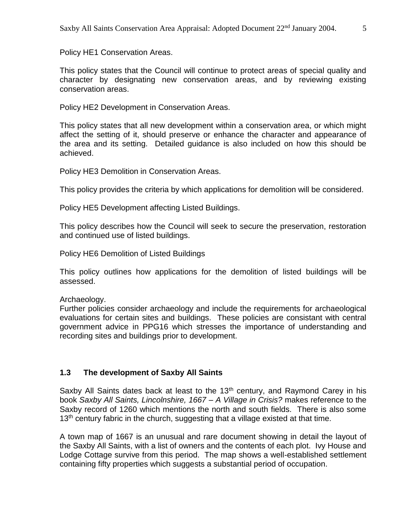Policy HE1 Conservation Areas.

This policy states that the Council will continue to protect areas of special quality and character by designating new conservation areas, and by reviewing existing conservation areas.

Policy HE2 Development in Conservation Areas.

This policy states that all new development within a conservation area, or which might affect the setting of it, should preserve or enhance the character and appearance of the area and its setting. Detailed guidance is also included on how this should be achieved.

Policy HE3 Demolition in Conservation Areas.

This policy provides the criteria by which applications for demolition will be considered.

Policy HE5 Development affecting Listed Buildings.

This policy describes how the Council will seek to secure the preservation, restoration and continued use of listed buildings.

Policy HE6 Demolition of Listed Buildings

This policy outlines how applications for the demolition of listed buildings will be assessed.

Archaeology.

Further policies consider archaeology and include the requirements for archaeological evaluations for certain sites and buildings. These policies are consistant with central government advice in PPG16 which stresses the importance of understanding and recording sites and buildings prior to development.

#### **1.3 The development of Saxby All Saints**

Saxby All Saints dates back at least to the  $13<sup>th</sup>$  century, and Raymond Carey in his book *Saxby All Saints, Lincolnshire, 1667 – A Village in Crisis?* makes reference to the Saxby record of 1260 which mentions the north and south fields. There is also some  $13<sup>th</sup>$  century fabric in the church, suggesting that a village existed at that time.

A town map of 1667 is an unusual and rare document showing in detail the layout of the Saxby All Saints, with a list of owners and the contents of each plot. Ivy House and Lodge Cottage survive from this period. The map shows a well-established settlement containing fifty properties which suggests a substantial period of occupation.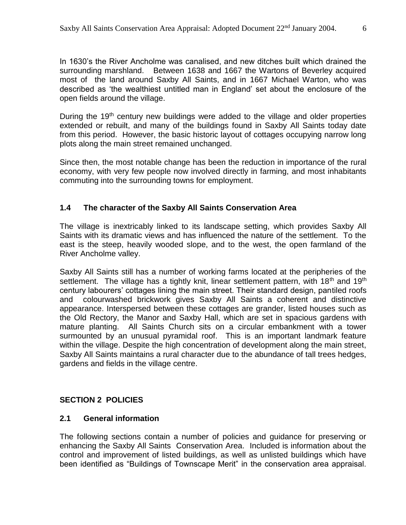In 1630's the River Ancholme was canalised, and new ditches built which drained the surrounding marshland. Between 1638 and 1667 the Wartons of Beverley acquired most of the land around Saxby All Saints, and in 1667 Michael Warton, who was described as 'the wealthiest untitled man in England' set about the enclosure of the open fields around the village.

During the  $19<sup>th</sup>$  century new buildings were added to the village and older properties extended or rebuilt, and many of the buildings found in Saxby All Saints today date from this period. However, the basic historic layout of cottages occupying narrow long plots along the main street remained unchanged.

Since then, the most notable change has been the reduction in importance of the rural economy, with very few people now involved directly in farming, and most inhabitants commuting into the surrounding towns for employment.

## **1.4 The character of the Saxby All Saints Conservation Area**

The village is inextricably linked to its landscape setting, which provides Saxby All Saints with its dramatic views and has influenced the nature of the settlement. To the east is the steep, heavily wooded slope, and to the west, the open farmland of the River Ancholme valley.

Saxby All Saints still has a number of working farms located at the peripheries of the settlement. The village has a tightly knit, linear settlement pattern, with  $18<sup>th</sup>$  and  $19<sup>th</sup>$ century labourers' cottages lining the main street. Their standard design, pantiled roofs and colourwashed brickwork gives Saxby All Saints a coherent and distinctive appearance. Interspersed between these cottages are grander, listed houses such as the Old Rectory, the Manor and Saxby Hall, which are set in spacious gardens with mature planting. All Saints Church sits on a circular embankment with a tower surmounted by an unusual pyramidal roof. This is an important landmark feature within the village. Despite the high concentration of development along the main street, Saxby All Saints maintains a rural character due to the abundance of tall trees hedges, gardens and fields in the village centre.

## **SECTION 2 POLICIES**

#### **2.1 General information**

The following sections contain a number of policies and guidance for preserving or enhancing the Saxby All Saints Conservation Area. Included is information about the control and improvement of listed buildings, as well as unlisted buildings which have been identified as "Buildings of Townscape Merit" in the conservation area appraisal.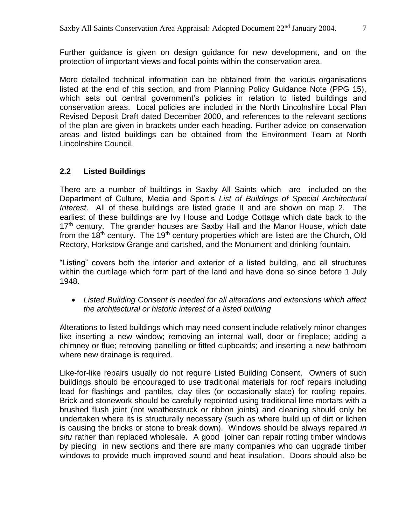Further guidance is given on design guidance for new development, and on the protection of important views and focal points within the conservation area.

More detailed technical information can be obtained from the various organisations listed at the end of this section, and from Planning Policy Guidance Note (PPG 15), which sets out central government's policies in relation to listed buildings and conservation areas. Local policies are included in the North Lincolnshire Local Plan Revised Deposit Draft dated December 2000, and references to the relevant sections of the plan are given in brackets under each heading. Further advice on conservation areas and listed buildings can be obtained from the Environment Team at North Lincolnshire Council.

## **2.2 Listed Buildings**

There are a number of buildings in Saxby All Saints which are included on the Department of Culture, Media and Sport's *List of Buildings of Special Architectural Interest*. All of these buildings are listed grade II and are shown on map 2. The earliest of these buildings are Ivy House and Lodge Cottage which date back to the  $17<sup>th</sup>$  century. The grander houses are Saxby Hall and the Manor House, which date from the 18<sup>th</sup> century. The 19<sup>th</sup> century properties which are listed are the Church, Old Rectory, Horkstow Grange and cartshed, and the Monument and drinking fountain.

"Listing" covers both the interior and exterior of a listed building, and all structures within the curtilage which form part of the land and have done so since before 1 July 1948.

 *Listed Building Consent is needed for all alterations and extensions which affect the architectural or historic interest of a listed building*

Alterations to listed buildings which may need consent include relatively minor changes like inserting a new window; removing an internal wall, door or fireplace; adding a chimney or flue; removing panelling or fitted cupboards; and inserting a new bathroom where new drainage is required.

Like-for-like repairs usually do not require Listed Building Consent. Owners of such buildings should be encouraged to use traditional materials for roof repairs including lead for flashings and pantiles, clay tiles (or occasionally slate) for roofing repairs. Brick and stonework should be carefully repointed using traditional lime mortars with a brushed flush joint (not weatherstruck or ribbon joints) and cleaning should only be undertaken where its is structurally necessary (such as where build up of dirt or lichen is causing the bricks or stone to break down). Windows should be always repaired *in situ* rather than replaced wholesale. A good joiner can repair rotting timber windows by piecing in new sections and there are many companies who can upgrade timber windows to provide much improved sound and heat insulation. Doors should also be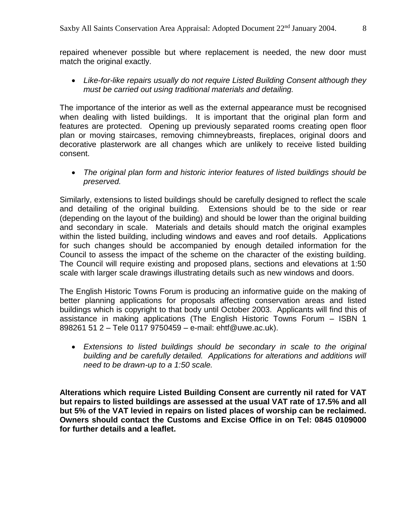repaired whenever possible but where replacement is needed, the new door must match the original exactly.

 *Like-for-like repairs usually do not require Listed Building Consent although they must be carried out using traditional materials and detailing.*

The importance of the interior as well as the external appearance must be recognised when dealing with listed buildings. It is important that the original plan form and features are protected. Opening up previously separated rooms creating open floor plan or moving staircases, removing chimneybreasts, fireplaces, original doors and decorative plasterwork are all changes which are unlikely to receive listed building consent.

 *The original plan form and historic interior features of listed buildings should be preserved.*

Similarly, extensions to listed buildings should be carefully designed to reflect the scale and detailing of the original building. Extensions should be to the side or rear (depending on the layout of the building) and should be lower than the original building and secondary in scale. Materials and details should match the original examples within the listed building, including windows and eaves and roof details. Applications for such changes should be accompanied by enough detailed information for the Council to assess the impact of the scheme on the character of the existing building. The Council will require existing and proposed plans, sections and elevations at 1:50 scale with larger scale drawings illustrating details such as new windows and doors.

The English Historic Towns Forum is producing an informative guide on the making of better planning applications for proposals affecting conservation areas and listed buildings which is copyright to that body until October 2003. Applicants will find this of assistance in making applications (The English Historic Towns Forum – ISBN 1 898261 51 2 – Tele 0117 9750459 – e-mail: ehtf@uwe.ac.uk).

 *Extensions to listed buildings should be secondary in scale to the original building and be carefully detailed. Applications for alterations and additions will need to be drawn-up to a 1:50 scale.*

**Alterations which require Listed Building Consent are currently nil rated for VAT but repairs to listed buildings are assessed at the usual VAT rate of 17.5% and all but 5% of the VAT levied in repairs on listed places of worship can be reclaimed. Owners should contact the Customs and Excise Office in on Tel: 0845 0109000 for further details and a leaflet.**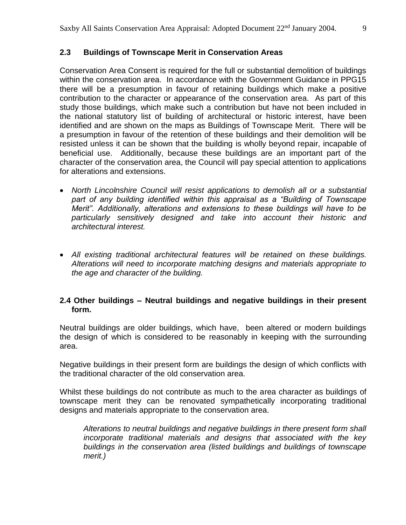## **2.3 Buildings of Townscape Merit in Conservation Areas**

Conservation Area Consent is required for the full or substantial demolition of buildings within the conservation area. In accordance with the Government Guidance in PPG15 there will be a presumption in favour of retaining buildings which make a positive contribution to the character or appearance of the conservation area. As part of this study those buildings, which make such a contribution but have not been included in the national statutory list of building of architectural or historic interest, have been identified and are shown on the maps as Buildings of Townscape Merit. There will be a presumption in favour of the retention of these buildings and their demolition will be resisted unless it can be shown that the building is wholly beyond repair, incapable of beneficial use. Additionally, because these buildings are an important part of the character of the conservation area, the Council will pay special attention to applications for alterations and extensions.

- *North Lincolnshire Council will resist applications to demolish all or a substantial part of any building identified within this appraisal as a "Building of Townscape Merit". Additionally, alterations and extensions to these buildings will have to be particularly sensitively designed and take into account their historic and architectural interest.*
- All existing traditional architectural features will be retained on these buildings. *Alterations will need to incorporate matching designs and materials appropriate to the age and character of the building.*

## **2.4 Other buildings – Neutral buildings and negative buildings in their present form.**

Neutral buildings are older buildings, which have, been altered or modern buildings the design of which is considered to be reasonably in keeping with the surrounding area.

Negative buildings in their present form are buildings the design of which conflicts with the traditional character of the old conservation area.

Whilst these buildings do not contribute as much to the area character as buildings of townscape merit they can be renovated sympathetically incorporating traditional designs and materials appropriate to the conservation area.

*Alterations to neutral buildings and negative buildings in there present form shall incorporate traditional materials and designs that associated with the key buildings in the conservation area (listed buildings and buildings of townscape merit.)*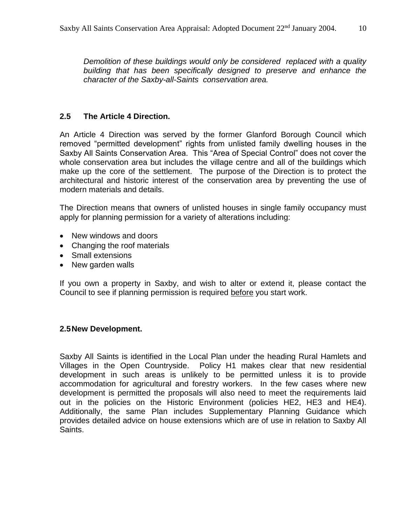*Demolition of these buildings would only be considered replaced with a quality building that has been specifically designed to preserve and enhance the character of the Saxby-all-Saints conservation area.*

## **2.5 The Article 4 Direction.**

An Article 4 Direction was served by the former Glanford Borough Council which removed "permitted development" rights from unlisted family dwelling houses in the Saxby All Saints Conservation Area. This "Area of Special Control" does not cover the whole conservation area but includes the village centre and all of the buildings which make up the core of the settlement. The purpose of the Direction is to protect the architectural and historic interest of the conservation area by preventing the use of modern materials and details.

The Direction means that owners of unlisted houses in single family occupancy must apply for planning permission for a variety of alterations including:

- New windows and doors
- Changing the roof materials
- Small extensions
- New garden walls

If you own a property in Saxby, and wish to alter or extend it, please contact the Council to see if planning permission is required before you start work.

#### **2.5New Development.**

Saxby All Saints is identified in the Local Plan under the heading Rural Hamlets and Villages in the Open Countryside. Policy H1 makes clear that new residential development in such areas is unlikely to be permitted unless it is to provide accommodation for agricultural and forestry workers. In the few cases where new development is permitted the proposals will also need to meet the requirements laid out in the policies on the Historic Environment (policies HE2, HE3 and HE4). Additionally, the same Plan includes Supplementary Planning Guidance which provides detailed advice on house extensions which are of use in relation to Saxby All Saints.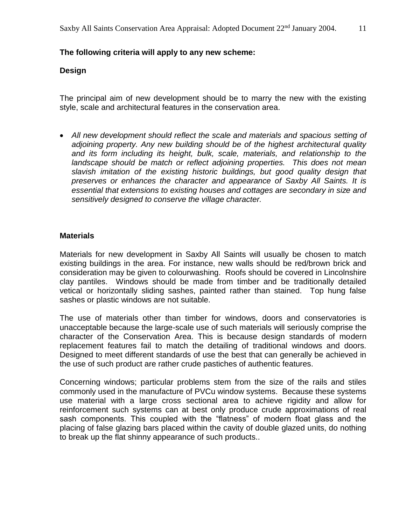#### **The following criteria will apply to any new scheme:**

#### **Design**

The principal aim of new development should be to marry the new with the existing style, scale and architectural features in the conservation area.

• All new development should reflect the scale and materials and spacious setting of *adjoining property. Any new building should be of the highest architectural quality and its form including its height, bulk, scale, materials, and relationship to the landscape should be match or reflect adjoining properties. This does not mean slavish imitation of the existing historic buildings, but good quality design that preserves or enhances the character and appearance of Saxby All Saints. It is essential that extensions to existing houses and cottages are secondary in size and sensitively designed to conserve the village character.* 

#### **Materials**

Materials for new development in Saxby All Saints will usually be chosen to match existing buildings in the area. For instance, new walls should be red/brown brick and consideration may be given to colourwashing. Roofs should be covered in Lincolnshire clay pantiles. Windows should be made from timber and be traditionally detailed vetical or horizontally sliding sashes, painted rather than stained. Top hung false sashes or plastic windows are not suitable.

The use of materials other than timber for windows, doors and conservatories is unacceptable because the large-scale use of such materials will seriously comprise the character of the Conservation Area. This is because design standards of modern replacement features fail to match the detailing of traditional windows and doors. Designed to meet different standards of use the best that can generally be achieved in the use of such product are rather crude pastiches of authentic features.

Concerning windows; particular problems stem from the size of the rails and stiles commonly used in the manufacture of PVCu window systems. Because these systems use material with a large cross sectional area to achieve rigidity and allow for reinforcement such systems can at best only produce crude approximations of real sash components. This coupled with the "flatness" of modern float glass and the placing of false glazing bars placed within the cavity of double glazed units, do nothing to break up the flat shinny appearance of such products..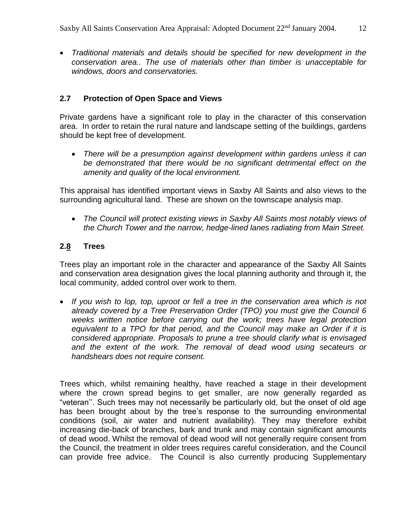*Traditional materials and details should be specified for new development in the conservation area.. The use of materials other than timber is unacceptable for windows, doors and conservatories.*

## **2.7 Protection of Open Space and Views**

Private gardens have a significant role to play in the character of this conservation area. In order to retain the rural nature and landscape setting of the buildings, gardens should be kept free of development.

 *There will be a presumption against development within gardens unless it can be demonstrated that there would be no significant detrimental effect on the amenity and quality of the local environment.*

This appraisal has identified important views in Saxby All Saints and also views to the surrounding agricultural land. These are shown on the townscape analysis map.

 *The Council will protect existing views in Saxby All Saints most notably views of the Church Tower and the narrow, hedge-lined lanes radiating from Main Street.*

## **2.8 Trees**

Trees play an important role in the character and appearance of the Saxby All Saints and conservation area designation gives the local planning authority and through it, the local community, added control over work to them.

• If you wish to lop, top, uproot or fell a tree in the conservation area which is not *already covered by a Tree Preservation Order (TPO) you must give the Council 6*  weeks written notice before carrying out the work; trees have legal protection *equivalent to a TPO for that period, and the Council may make an Order if it is considered appropriate. Proposals to prune a tree should clarify what is envisaged and the extent of the work. The removal of dead wood using secateurs or handshears does not require consent.*

Trees which, whilst remaining healthy, have reached a stage in their development where the crown spread begins to get smaller, are now generally regarded as "veteran''. Such trees may not necessarily be particularly old, but the onset of old age has been brought about by the tree's response to the surrounding environmental conditions (soil, air water and nutrient availability). They may therefore exhibit increasing die-back of branches, bark and trunk and may contain significant amounts of dead wood. Whilst the removal of dead wood will not generally require consent from the Council, the treatment in older trees requires careful consideration, and the Council can provide free advice. The Council is also currently producing Supplementary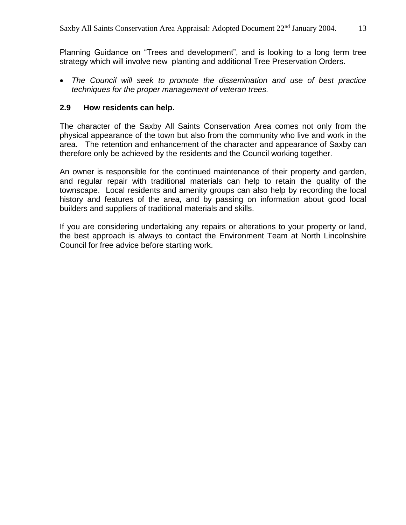Planning Guidance on "Trees and development", and is looking to a long term tree strategy which will involve new planting and additional Tree Preservation Orders.

 *The Council will seek to promote the dissemination and use of best practice techniques for the proper management of veteran trees.*

#### **2.9 How residents can help.**

The character of the Saxby All Saints Conservation Area comes not only from the physical appearance of the town but also from the community who live and work in the area. The retention and enhancement of the character and appearance of Saxby can therefore only be achieved by the residents and the Council working together.

An owner is responsible for the continued maintenance of their property and garden, and regular repair with traditional materials can help to retain the quality of the townscape. Local residents and amenity groups can also help by recording the local history and features of the area, and by passing on information about good local builders and suppliers of traditional materials and skills.

If you are considering undertaking any repairs or alterations to your property or land, the best approach is always to contact the Environment Team at North Lincolnshire Council for free advice before starting work.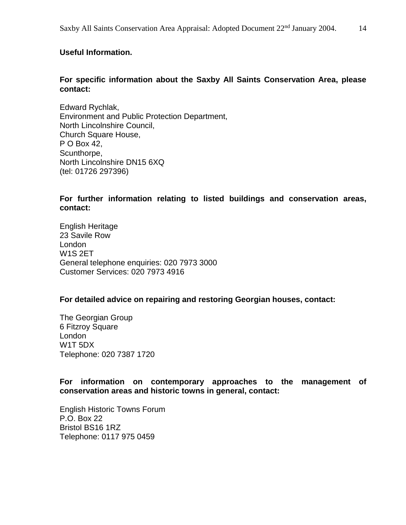#### **Useful Information.**

#### **For specific information about the Saxby All Saints Conservation Area, please contact:**

Edward Rychlak, Environment and Public Protection Department, North Lincolnshire Council, Church Square House, P O Box 42, Scunthorpe, North Lincolnshire DN15 6XQ (tel: 01726 297396)

**For further information relating to listed buildings and conservation areas, contact:**

English Heritage 23 Savile Row London W1S 2ET General telephone enquiries: 020 7973 3000 Customer Services: 020 7973 4916

#### **For detailed advice on repairing and restoring Georgian houses, contact:**

The Georgian Group 6 Fitzroy Square London W1T 5DX Telephone: 020 7387 1720

**For information on contemporary approaches to the management of conservation areas and historic towns in general, contact:**

English Historic Towns Forum P.O. Box 22 Bristol BS16 1RZ Telephone: 0117 975 0459